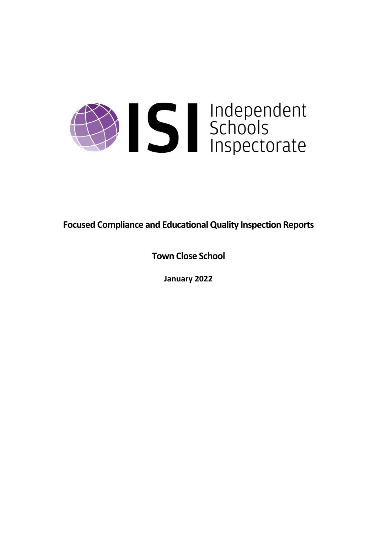

**Focused Compliance and EducationalQuality Inspection Reports**

**Town Close School**

**January 2022**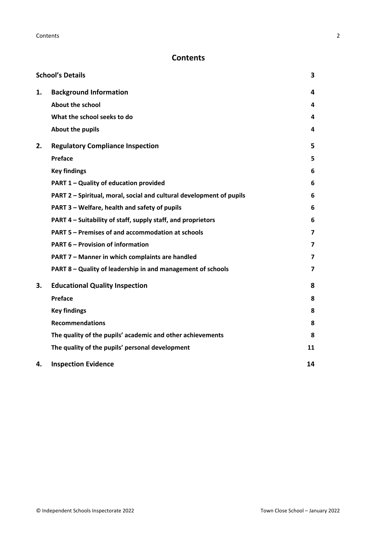# **Contents**

|    | <b>School's Details</b>                                              | 3                       |
|----|----------------------------------------------------------------------|-------------------------|
| 1. | <b>Background Information</b>                                        | 4                       |
|    | <b>About the school</b>                                              | 4                       |
|    | What the school seeks to do                                          | 4                       |
|    | About the pupils                                                     | 4                       |
| 2. | <b>Regulatory Compliance Inspection</b>                              | 5                       |
|    | Preface                                                              | 5                       |
|    | <b>Key findings</b>                                                  | 6                       |
|    | PART 1 - Quality of education provided                               | 6                       |
|    | PART 2 - Spiritual, moral, social and cultural development of pupils | 6                       |
|    | PART 3 - Welfare, health and safety of pupils                        | 6                       |
|    | PART 4 – Suitability of staff, supply staff, and proprietors         | 6                       |
|    | PART 5 - Premises of and accommodation at schools                    | 7                       |
|    | <b>PART 6 - Provision of information</b>                             | 7                       |
|    | PART 7 - Manner in which complaints are handled                      | 7                       |
|    | PART 8 - Quality of leadership in and management of schools          | $\overline{\mathbf{z}}$ |
| 3. | <b>Educational Quality Inspection</b>                                | 8                       |
|    | Preface                                                              | 8                       |
|    | <b>Key findings</b>                                                  | 8                       |
|    | <b>Recommendations</b>                                               | 8                       |
|    | The quality of the pupils' academic and other achievements           | 8                       |
|    | The quality of the pupils' personal development                      | 11                      |
| 4. | <b>Inspection Evidence</b>                                           | 14                      |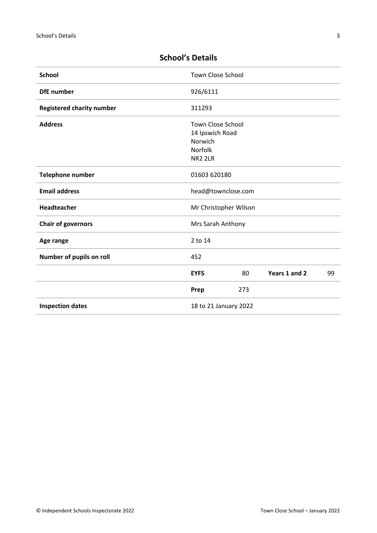| <b>School</b>                    | <b>Town Close School</b> |     |               |    |
|----------------------------------|--------------------------|-----|---------------|----|
| <b>DfE</b> number                | 926/6111                 |     |               |    |
| <b>Registered charity number</b> | 311293                   |     |               |    |
| <b>Address</b>                   | <b>Town Close School</b> |     |               |    |
|                                  | 14 Ipswich Road          |     |               |    |
|                                  | Norwich                  |     |               |    |
|                                  | Norfolk                  |     |               |    |
|                                  | <b>NR2 2LR</b>           |     |               |    |
| <b>Telephone number</b>          | 01603 620180             |     |               |    |
| <b>Email address</b>             | head@townclose.com       |     |               |    |
| <b>Headteacher</b>               | Mr Christopher Wilson    |     |               |    |
| <b>Chair of governors</b>        | Mrs Sarah Anthony        |     |               |    |
| Age range                        | 2 to 14                  |     |               |    |
| Number of pupils on roll         | 452                      |     |               |    |
|                                  | <b>EYFS</b>              | 80  | Years 1 and 2 | 99 |
|                                  | Prep                     | 273 |               |    |
| <b>Inspection dates</b>          | 18 to 21 January 2022    |     |               |    |

# <span id="page-2-0"></span>**School's Details**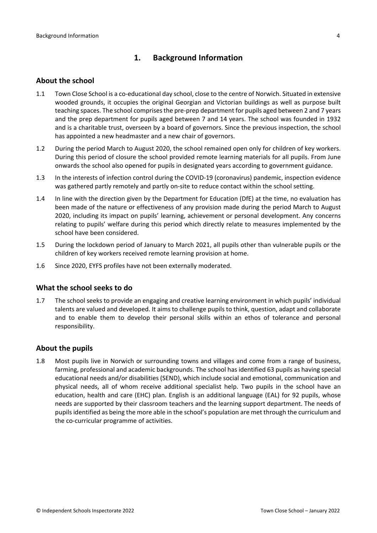## <span id="page-3-0"></span>**1. Background Information**

#### <span id="page-3-1"></span>**About the school**

- 1.1 Town Close School is a co-educational day school, close to the centre of Norwich. Situated in extensive wooded grounds, it occupies the original Georgian and Victorian buildings as well as purpose built teaching spaces. The school comprises the pre-prep department for pupils aged between 2 and 7 years and the prep department for pupils aged between 7 and 14 years. The school was founded in 1932 and is a charitable trust, overseen by a board of governors. Since the previous inspection, the school has appointed a new headmaster and a new chair of governors.
- 1.2 During the period March to August 2020, the school remained open only for children of key workers. During this period of closure the school provided remote learning materials for all pupils. From June onwards the school also opened for pupils in designated years according to government guidance.
- 1.3 In the interests of infection control during the COVID-19 (coronavirus) pandemic, inspection evidence was gathered partly remotely and partly on-site to reduce contact within the school setting.
- 1.4 In line with the direction given by the Department for Education (DfE) at the time, no evaluation has been made of the nature or effectiveness of any provision made during the period March to August 2020, including its impact on pupils' learning, achievement or personal development. Any concerns relating to pupils' welfare during this period which directly relate to measures implemented by the school have been considered.
- 1.5 During the lockdown period of January to March 2021, all pupils other than vulnerable pupils or the children of key workers received remote learning provision at home.
- 1.6 Since 2020, EYFS profiles have not been externally moderated.

## <span id="page-3-2"></span>**What the school seeks to do**

1.7 The school seeks to provide an engaging and creative learning environment in which pupils' individual talents are valued and developed. It aims to challenge pupils to think, question, adapt and collaborate and to enable them to develop their personal skills within an ethos of tolerance and personal responsibility.

## <span id="page-3-3"></span>**About the pupils**

1.8 Most pupils live in Norwich or surrounding towns and villages and come from a range of business, farming, professional and academic backgrounds. The school has identified 63 pupils as having special educational needs and/or disabilities (SEND), which include social and emotional, communication and physical needs, all of whom receive additional specialist help. Two pupils in the school have an education, health and care (EHC) plan. English is an additional language (EAL) for 92 pupils, whose needs are supported by their classroom teachers and the learning support department. The needs of pupilsidentified as being the more able in the school's population are met through the curriculum and the co-curricular programme of activities.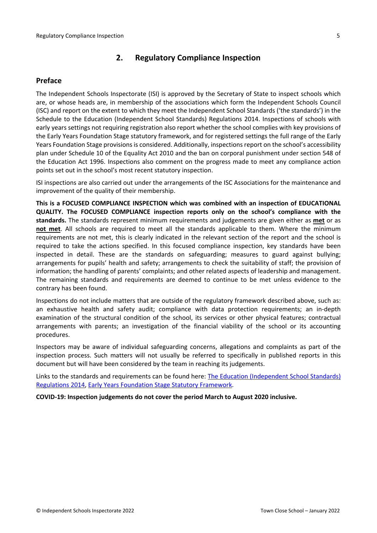## <span id="page-4-0"></span>**2. Regulatory Compliance Inspection**

## <span id="page-4-1"></span>**Preface**

The Independent Schools Inspectorate (ISI) is approved by the Secretary of State to inspect schools which are, or whose heads are, in membership of the associations which form the Independent Schools Council (ISC) and report on the extent to which they meet the Independent School Standards ('the standards') in the Schedule to the Education (Independent School Standards) Regulations 2014. Inspections of schools with early years settings not requiring registration also report whether the school complies with key provisions of the Early Years Foundation Stage statutory framework, and for registered settings the full range of the Early Years Foundation Stage provisions is considered. Additionally, inspections report on the school's accessibility plan under Schedule 10 of the Equality Act 2010 and the ban on corporal punishment under section 548 of the Education Act 1996. Inspections also comment on the progress made to meet any compliance action points set out in the school's most recent statutory inspection.

ISI inspections are also carried out under the arrangements of the ISC Associations for the maintenance and improvement of the quality of their membership.

**This is a FOCUSED COMPLIANCE INSPECTION which was combined with an inspection of EDUCATIONAL QUALITY. The FOCUSED COMPLIANCE inspection reports only on the school's compliance with the standards.** The standards represent minimum requirements and judgements are given either as **met** or as **not met**. All schools are required to meet all the standards applicable to them. Where the minimum requirements are not met, this is clearly indicated in the relevant section of the report and the school is required to take the actions specified. In this focused compliance inspection, key standards have been inspected in detail. These are the standards on safeguarding; measures to guard against bullying; arrangements for pupils' health and safety; arrangements to check the suitability of staff; the provision of information; the handling of parents' complaints; and other related aspects of leadership and management. The remaining standards and requirements are deemed to continue to be met unless evidence to the contrary has been found.

Inspections do not include matters that are outside of the regulatory framework described above, such as: an exhaustive health and safety audit; compliance with data protection requirements; an in-depth examination of the structural condition of the school, its services or other physical features; contractual arrangements with parents; an investigation of the financial viability of the school or its accounting procedures.

Inspectors may be aware of individual safeguarding concerns, allegations and complaints as part of the inspection process. Such matters will not usually be referred to specifically in published reports in this document but will have been considered by the team in reaching its judgements.

Links to the standards and requirements can be found here: The Education [\(Independent](http://www.legislation.gov.uk/uksi/2014/3283/contents/made) School Standards) [Regulations](http://www.legislation.gov.uk/uksi/2014/3283/contents/made) 2014, Early Years Foundation Stage Statutory [Framework.](https://www.gov.uk/government/publications/early-years-foundation-stage-framework--2)

**COVID-19: Inspection judgements do not cover the period March to August 2020 inclusive.**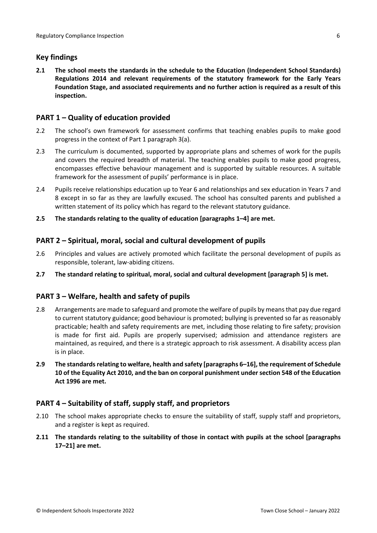## <span id="page-5-0"></span>**Key findings**

**2.1 The school meets the standards in the schedule to the Education (Independent School Standards) Regulations 2014 and relevant requirements of the statutory framework for the Early Years Foundation Stage, and associated requirements and no further action is required as a result of this inspection.**

## <span id="page-5-1"></span>**PART 1 – Quality of education provided**

- 2.2 The school's own framework for assessment confirms that teaching enables pupils to make good progress in the context of Part 1 paragraph 3(a).
- 2.3 The curriculum is documented, supported by appropriate plans and schemes of work for the pupils and covers the required breadth of material. The teaching enables pupils to make good progress, encompasses effective behaviour management and is supported by suitable resources. A suitable framework for the assessment of pupils' performance is in place.
- 2.4 Pupils receive relationships education up to Year 6 and relationships and sex education in Years 7 and 8 except in so far as they are lawfully excused. The school has consulted parents and published a written statement of its policy which has regard to the relevant statutory guidance.
- **2.5 The standards relating to the quality of education [paragraphs 1–4] are met.**

## <span id="page-5-2"></span>**PART 2 – Spiritual, moral, social and cultural development of pupils**

- 2.6 Principles and values are actively promoted which facilitate the personal development of pupils as responsible, tolerant, law-abiding citizens.
- **2.7 The standard relating to spiritual, moral, social and cultural development [paragraph 5] is met.**

## <span id="page-5-3"></span>**PART 3 – Welfare, health and safety of pupils**

- 2.8 Arrangements are made to safeguard and promote the welfare of pupils by means that pay due regard to current statutory guidance; good behaviour is promoted; bullying is prevented so far as reasonably practicable; health and safety requirements are met, including those relating to fire safety; provision is made for first aid. Pupils are properly supervised; admission and attendance registers are maintained, as required, and there is a strategic approach to risk assessment. A disability access plan is in place.
- **2.9 The standardsrelating to welfare, health and safety [paragraphs 6–16], the requirement of Schedule 10 of the Equality Act 2010, and the ban on corporal punishment undersection 548 of the Education Act 1996 are met.**

## <span id="page-5-4"></span>**PART 4 – Suitability of staff, supply staff, and proprietors**

- 2.10 The school makes appropriate checks to ensure the suitability of staff, supply staff and proprietors, and a register is kept as required.
- **2.11 The standards relating to the suitability of those in contact with pupils at the school [paragraphs 17–21] are met.**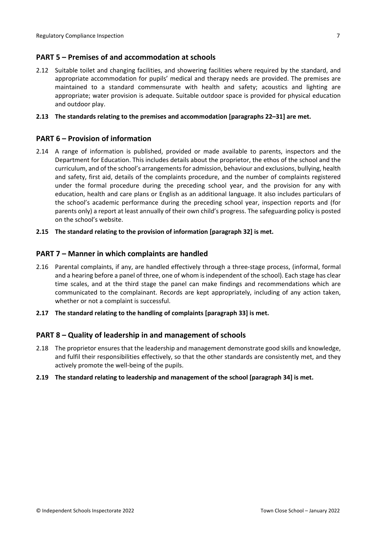## <span id="page-6-0"></span>**PART 5 – Premises of and accommodation at schools**

2.12 Suitable toilet and changing facilities, and showering facilities where required by the standard, and appropriate accommodation for pupils' medical and therapy needs are provided. The premises are maintained to a standard commensurate with health and safety; acoustics and lighting are appropriate; water provision is adequate. Suitable outdoor space is provided for physical education and outdoor play.

#### **2.13 The standards relating to the premises and accommodation [paragraphs 22–31] are met.**

## <span id="page-6-1"></span>**PART 6 – Provision of information**

- 2.14 A range of information is published, provided or made available to parents, inspectors and the Department for Education. This includes details about the proprietor, the ethos of the school and the curriculum, and of the school's arrangementsfor admission, behaviour and exclusions, bullying, health and safety, first aid, details of the complaints procedure, and the number of complaints registered under the formal procedure during the preceding school year, and the provision for any with education, health and care plans or English as an additional language. It also includes particulars of the school's academic performance during the preceding school year, inspection reports and (for parents only) a report at least annually of their own child's progress. The safeguarding policy is posted on the school's website.
- **2.15 The standard relating to the provision of information [paragraph 32] is met.**

#### <span id="page-6-2"></span>**PART 7 – Manner in which complaints are handled**

- 2.16 Parental complaints, if any, are handled effectively through a three-stage process, (informal, formal and a hearing before a panel of three, one of whom is independent of the school). Each stage has clear time scales, and at the third stage the panel can make findings and recommendations which are communicated to the complainant. Records are kept appropriately, including of any action taken, whether or not a complaint is successful.
- **2.17 The standard relating to the handling of complaints [paragraph 33] is met.**

## <span id="page-6-3"></span>**PART 8 – Quality of leadership in and management of schools**

- 2.18 The proprietor ensures that the leadership and management demonstrate good skills and knowledge, and fulfil their responsibilities effectively, so that the other standards are consistently met, and they actively promote the well-being of the pupils.
- **2.19 The standard relating to leadership and management of the school [paragraph 34] is met.**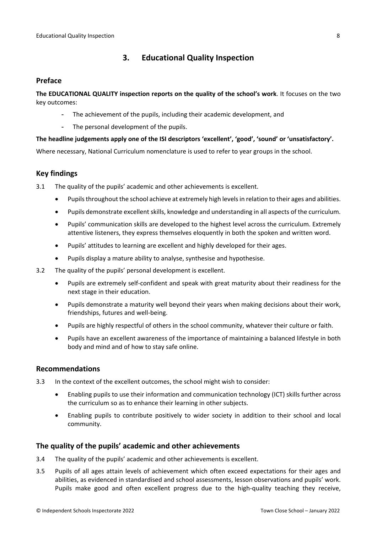## <span id="page-7-0"></span>**3. Educational Quality Inspection**

#### <span id="page-7-1"></span>**Preface**

**The EDUCATIONAL QUALITY inspection reports on the quality of the school's work**. It focuses on the two key outcomes:

- The achievement of the pupils, including their academic development, and
- The personal development of the pupils.

#### **The headline judgements apply one of the ISI descriptors 'excellent', 'good', 'sound' or 'unsatisfactory'.**

Where necessary, National Curriculum nomenclature is used to refer to year groups in the school.

## <span id="page-7-2"></span>**Key findings**

3.1 The quality of the pupils' academic and other achievements is excellent.

- Pupilsthroughout the school achieve at extremely high levelsin relation to their ages and abilities.
- Pupils demonstrate excellent skills, knowledge and understanding in all aspects of the curriculum.
- Pupils' communication skills are developed to the highest level across the curriculum. Extremely attentive listeners, they express themselves eloquently in both the spoken and written word.
- Pupils' attitudes to learning are excellent and highly developed for their ages.
- Pupils display a mature ability to analyse, synthesise and hypothesise.
- 3.2 The quality of the pupils' personal development is excellent.
	- Pupils are extremely self-confident and speak with great maturity about their readiness for the next stage in their education.
	- Pupils demonstrate a maturity well beyond their years when making decisions about their work, friendships, futures and well-being.
	- Pupils are highly respectful of others in the school community, whatever their culture or faith.
	- Pupils have an excellent awareness of the importance of maintaining a balanced lifestyle in both body and mind and of how to stay safe online.

#### <span id="page-7-3"></span>**Recommendations**

- 3.3 In the context of the excellent outcomes, the school might wish to consider:
	- Enabling pupils to use their information and communication technology (ICT) skills further across the curriculum so as to enhance their learning in other subjects.
	- Enabling pupils to contribute positively to wider society in addition to their school and local community.

## <span id="page-7-4"></span>**The quality of the pupils' academic and other achievements**

- 3.4 The quality of the pupils' academic and other achievements is excellent.
- 3.5 Pupils of all ages attain levels of achievement which often exceed expectations for their ages and abilities, as evidenced in standardised and school assessments, lesson observations and pupils' work. Pupils make good and often excellent progress due to the high-quality teaching they receive,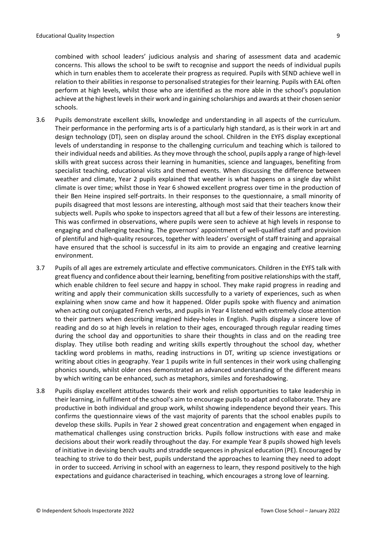combined with school leaders' judicious analysis and sharing of assessment data and academic concerns. This allows the school to be swift to recognise and support the needs of individual pupils which in turn enables them to accelerate their progress as required. Pupils with SEND achieve well in relation to their abilities in response to personalised strategies for their learning. Pupils with EAL often perform at high levels, whilst those who are identified as the more able in the school's population achieve at the highest levelsin their work and in gaining scholarships and awards at their chosen senior schools.

- 3.6 Pupils demonstrate excellent skills, knowledge and understanding in all aspects of the curriculum. Their performance in the performing arts is of a particularly high standard, as is their work in art and design technology (DT), seen on display around the school. Children in the EYFS display exceptional levels of understanding in response to the challenging curriculum and teaching which is tailored to their individual needs and abilities. Asthey move through the school, pupils apply a range of high-level skills with great success across their learning in humanities, science and languages, benefiting from specialist teaching, educational visits and themed events. When discussing the difference between weather and climate, Year 2 pupils explained that weather is what happens on a single day whilst climate is over time; whilst those in Year 6 showed excellent progress over time in the production of their Ben Heine inspired self-portraits. In their responses to the questionnaire, a small minority of pupils disagreed that most lessons are interesting, although most said that their teachers know their subjects well. Pupils who spoke to inspectors agreed that all but a few of their lessons are interesting. This was confirmed in observations, where pupils were seen to achieve at high levels in response to engaging and challenging teaching. The governors' appointment of well-qualified staff and provision of plentiful and high-quality resources, together with leaders' oversight of staff training and appraisal have ensured that the school is successful in its aim to provide an engaging and creative learning environment.
- 3.7 Pupils of all ages are extremely articulate and effective communicators. Children in the EYFS talk with great fluency and confidence about their learning, benefiting from positive relationships with the staff, which enable children to feel secure and happy in school. They make rapid progress in reading and writing and apply their communication skills successfully to a variety of experiences, such as when explaining when snow came and how it happened. Older pupils spoke with fluency and animation when acting out conjugated French verbs, and pupils in Year 4 listened with extremely close attention to their partners when describing imagined hidey-holes in English. Pupils display a sincere love of reading and do so at high levels in relation to their ages, encouraged through regular reading times during the school day and opportunities to share their thoughts in class and on the reading tree display. They utilise both reading and writing skills expertly throughout the school day, whether tackling word problems in maths, reading instructions in DT, writing up science investigations or writing about cities in geography. Year 1 pupils write in full sentences in their work using challenging phonics sounds, whilst older ones demonstrated an advanced understanding of the different means by which writing can be enhanced, such as metaphors, similes and foreshadowing.
- 3.8 Pupils display excellent attitudes towards their work and relish opportunities to take leadership in their learning, in fulfilment of the school's aim to encourage pupils to adapt and collaborate. They are productive in both individual and group work, whilst showing independence beyond their years. This confirms the questionnaire views of the vast majority of parents that the school enables pupils to develop these skills. Pupils in Year 2 showed great concentration and engagement when engaged in mathematical challenges using construction bricks. Pupils follow instructions with ease and make decisions about their work readily throughout the day. For example Year 8 pupils showed high levels of initiative in devising bench vaults and straddle sequences in physical education (PE). Encouraged by teaching to strive to do their best, pupils understand the approaches to learning they need to adopt in order to succeed. Arriving in school with an eagerness to learn, they respond positively to the high expectations and guidance characterised in teaching, which encourages a strong love of learning.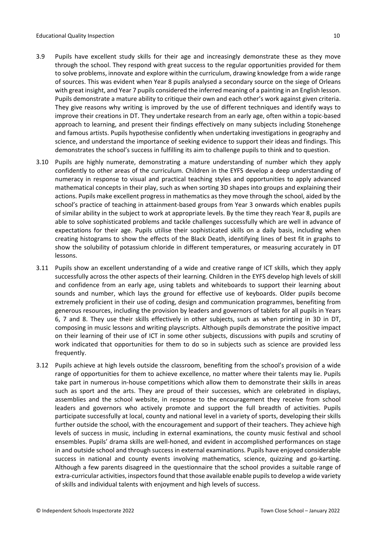- 3.9 Pupils have excellent study skills for their age and increasingly demonstrate these as they move through the school. They respond with great success to the regular opportunities provided for them to solve problems, innovate and explore within the curriculum, drawing knowledge from a wide range of sources. This was evident when Year 8 pupils analysed a secondary source on the siege of Orleans with great insight, and Year 7 pupils considered the inferred meaning of a painting in an English lesson. Pupils demonstrate a mature ability to critique their own and each other's work against given criteria. They give reasons why writing is improved by the use of different techniques and identify ways to improve their creations in DT. They undertake research from an early age, often within a topic-based approach to learning, and present their findings effectively on many subjects including Stonehenge and famous artists. Pupils hypothesise confidently when undertaking investigations in geography and science, and understand the importance of seeking evidence to support their ideas and findings. This demonstrates the school's success in fulfilling its aim to challenge pupils to think and to question.
- 3.10 Pupils are highly numerate, demonstrating a mature understanding of number which they apply confidently to other areas of the curriculum. Children in the EYFS develop a deep understanding of numeracy in response to visual and practical teaching styles and opportunities to apply advanced mathematical concepts in their play, such as when sorting 3D shapes into groups and explaining their actions. Pupils make excellent progress in mathematics as they move through the school, aided by the school's practice of teaching in attainment-based groups from Year 3 onwards which enables pupils of similar ability in the subject to work at appropriate levels. By the time they reach Year 8, pupils are able to solve sophisticated problems and tackle challenges successfully which are well in advance of expectations for their age. Pupils utilise their sophisticated skills on a daily basis, including when creating histograms to show the effects of the Black Death, identifying lines of best fit in graphs to show the solubility of potassium chloride in different temperatures, or measuring accurately in DT lessons.
- 3.11 Pupils show an excellent understanding of a wide and creative range of ICT skills, which they apply successfully across the other aspects of their learning. Children in the EYFS develop high levels of skill and confidence from an early age, using tablets and whiteboards to support their learning about sounds and number, which lays the ground for effective use of keyboards. Older pupils become extremely proficient in their use of coding, design and communication programmes, benefiting from generous resources, including the provision by leaders and governors of tablets for all pupils in Years 6, 7 and 8. They use their skills effectively in other subjects, such as when printing in 3D in DT, composing in music lessons and writing playscripts. Although pupils demonstrate the positive impact on their learning of their use of ICT in some other subjects, discussions with pupils and scrutiny of work indicated that opportunities for them to do so in subjects such as science are provided less frequently.
- 3.12 Pupils achieve at high levels outside the classroom, benefiting from the school's provision of a wide range of opportunities for them to achieve excellence, no matter where their talents may lie. Pupils take part in numerous in-house competitions which allow them to demonstrate their skills in areas such as sport and the arts. They are proud of their successes, which are celebrated in displays, assemblies and the school website, in response to the encouragement they receive from school leaders and governors who actively promote and support the full breadth of activities. Pupils participate successfully at local, county and national level in a variety of sports, developing their skills further outside the school, with the encouragement and support of their teachers. They achieve high levels of success in music, including in external examinations, the county music festival and school ensembles. Pupils' drama skills are well-honed, and evident in accomplished performances on stage in and outside school and through success in external examinations. Pupils have enjoyed considerable success in national and county events involving mathematics, science, quizzing and go-karting. Although a few parents disagreed in the questionnaire that the school provides a suitable range of extra-curricular activities, inspectors found that those available enable pupils to develop a wide variety of skills and individual talents with enjoyment and high levels of success.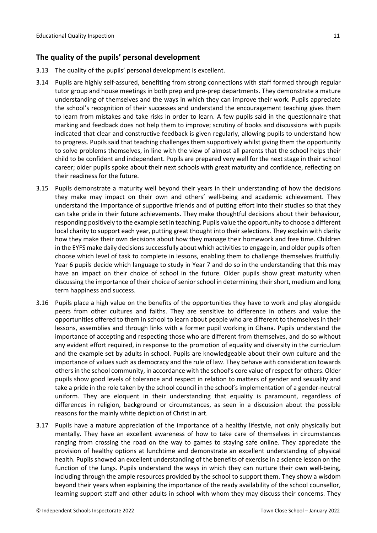## <span id="page-10-0"></span>**The quality of the pupils' personal development**

- 3.13 The quality of the pupils' personal development is excellent.
- 3.14 Pupils are highly self-assured, benefiting from strong connections with staff formed through regular tutor group and house meetings in both prep and pre-prep departments. They demonstrate a mature understanding of themselves and the ways in which they can improve their work. Pupils appreciate the school's recognition of their successes and understand the encouragement teaching gives them to learn from mistakes and take risks in order to learn. A few pupils said in the questionnaire that marking and feedback does not help them to improve; scrutiny of books and discussions with pupils indicated that clear and constructive feedback is given regularly, allowing pupils to understand how to progress. Pupils said that teaching challenges them supportively whilst giving them the opportunity to solve problems themselves, in line with the view of almost all parents that the school helps their child to be confident and independent. Pupils are prepared very well for the next stage in their school career; older pupils spoke about their next schools with great maturity and confidence, reflecting on their readiness for the future.
- 3.15 Pupils demonstrate a maturity well beyond their years in their understanding of how the decisions they make may impact on their own and others' well-being and academic achievement. They understand the importance of supportive friends and of putting effort into their studies so that they can take pride in their future achievements. They make thoughtful decisions about their behaviour, responding positively to the example set in teaching. Pupils value the opportunity to choose a different local charity to support each year, putting great thought into their selections. They explain with clarity how they make their own decisions about how they manage their homework and free time. Children in the EYFS make daily decisions successfully about which activities to engage in, and older pupils often choose which level of task to complete in lessons, enabling them to challenge themselves fruitfully. Year 6 pupils decide which language to study in Year 7 and do so in the understanding that this may have an impact on their choice of school in the future. Older pupils show great maturity when discussing the importance of their choice of senior school in determining their short, medium and long term happiness and success.
- 3.16 Pupils place a high value on the benefits of the opportunities they have to work and play alongside peers from other cultures and faiths. They are sensitive to difference in others and value the opportunities offered to them in school to learn about people who are different to themselves in their lessons, assemblies and through links with a former pupil working in Ghana. Pupils understand the importance of accepting and respecting those who are different from themselves, and do so without any evident effort required, in response to the promotion of equality and diversity in the curriculum and the example set by adults in school. Pupils are knowledgeable about their own culture and the importance of values such as democracy and the rule of law. They behave with consideration towards othersin the school community, in accordance with the school's core value of respect for others. Older pupils show good levels of tolerance and respect in relation to matters of gender and sexuality and take a pride in the role taken by the school council in the school's implementation of a gender-neutral uniform. They are eloquent in their understanding that equality is paramount, regardless of differences in religion, background or circumstances, as seen in a discussion about the possible reasons for the mainly white depiction of Christ in art.
- 3.17 Pupils have a mature appreciation of the importance of a healthy lifestyle, not only physically but mentally. They have an excellent awareness of how to take care of themselves in circumstances ranging from crossing the road on the way to games to staying safe online. They appreciate the provision of healthy options at lunchtime and demonstrate an excellent understanding of physical health. Pupils showed an excellent understanding of the benefits of exercise in a science lesson on the function of the lungs. Pupils understand the ways in which they can nurture their own well-being, including through the ample resources provided by the school to support them. They show a wisdom beyond their years when explaining the importance of the ready availability of the school counsellor, learning support staff and other adults in school with whom they may discuss their concerns. They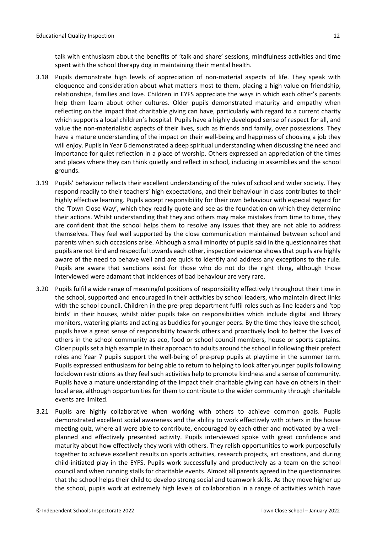talk with enthusiasm about the benefits of 'talk and share' sessions, mindfulness activities and time spent with the school therapy dog in maintaining their mental health.

- 3.18 Pupils demonstrate high levels of appreciation of non-material aspects of life. They speak with eloquence and consideration about what matters most to them, placing a high value on friendship, relationships, families and love. Children in EYFS appreciate the ways in which each other's parents help them learn about other cultures. Older pupils demonstrated maturity and empathy when reflecting on the impact that charitable giving can have, particularly with regard to a current charity which supports a local children's hospital. Pupils have a highly developed sense of respect for all, and value the non-materialistic aspects of their lives, such as friends and family, over possessions. They have a mature understanding of the impact on their well-being and happiness of choosing a job they will enjoy. Pupils in Year 6 demonstrated a deep spiritual understanding when discussing the need and importance for quiet reflection in a place of worship. Others expressed an appreciation of the times and places where they can think quietly and reflect in school, including in assemblies and the school grounds.
- 3.19 Pupils' behaviour reflects their excellent understanding of the rules of school and wider society. They respond readily to their teachers' high expectations, and their behaviour in class contributes to their highly effective learning. Pupils accept responsibility for their own behaviour with especial regard for the 'Town Close Way', which they readily quote and see as the foundation on which they determine their actions. Whilst understanding that they and others may make mistakes from time to time, they are confident that the school helps them to resolve any issues that they are not able to address themselves. They feel well supported by the close communication maintained between school and parents when such occasions arise. Although a small minority of pupils said in the questionnaires that pupils are not kind and respectful towards each other, inspection evidence showsthat pupils are highly aware of the need to behave well and are quick to identify and address any exceptions to the rule. Pupils are aware that sanctions exist for those who do not do the right thing, although those interviewed were adamant that incidences of bad behaviour are very rare.
- 3.20 Pupils fulfil a wide range of meaningful positions of responsibility effectively throughout their time in the school, supported and encouraged in their activities by school leaders, who maintain direct links with the school council. Children in the pre-prep department fulfil roles such as line leaders and 'top birds' in their houses, whilst older pupils take on responsibilities which include digital and library monitors, watering plants and acting as buddies for younger peers. By the time they leave the school, pupils have a great sense of responsibility towards others and proactively look to better the lives of others in the school community as eco, food or school council members, house or sports captains. Older pupilsset a high example in their approach to adults around the school in following their prefect roles and Year 7 pupils support the well-being of pre-prep pupils at playtime in the summer term. Pupils expressed enthusiasm for being able to return to helping to look after younger pupils following lockdown restrictions as they feel such activities help to promote kindness and a sense of community. Pupils have a mature understanding of the impact their charitable giving can have on others in their local area, although opportunities for them to contribute to the wider community through charitable events are limited.
- 3.21 Pupils are highly collaborative when working with others to achieve common goals. Pupils demonstrated excellent social awareness and the ability to work effectively with others in the house meeting quiz, where all were able to contribute, encouraged by each other and motivated by a wellplanned and effectively presented activity. Pupils interviewed spoke with great confidence and maturity about how effectively they work with others. They relish opportunities to work purposefully together to achieve excellent results on sports activities, research projects, art creations, and during child-initiated play in the EYFS. Pupils work successfully and productively as a team on the school council and when running stalls for charitable events. Almost all parents agreed in the questionnaires that the school helps their child to develop strong social and teamwork skills. As they move higher up the school, pupils work at extremely high levels of collaboration in a range of activities which have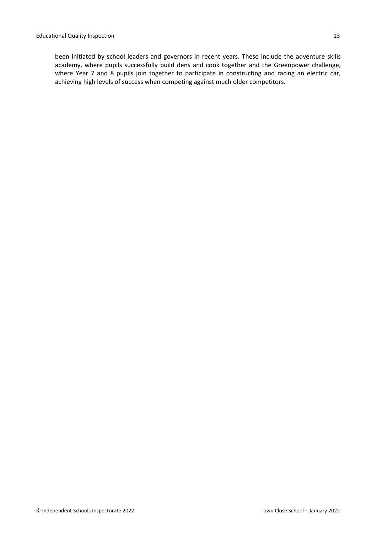been initiated by school leaders and governors in recent years. These include the adventure skills academy, where pupils successfully build dens and cook together and the Greenpower challenge, where Year 7 and 8 pupils join together to participate in constructing and racing an electric car, achieving high levels of success when competing against much older competitors.